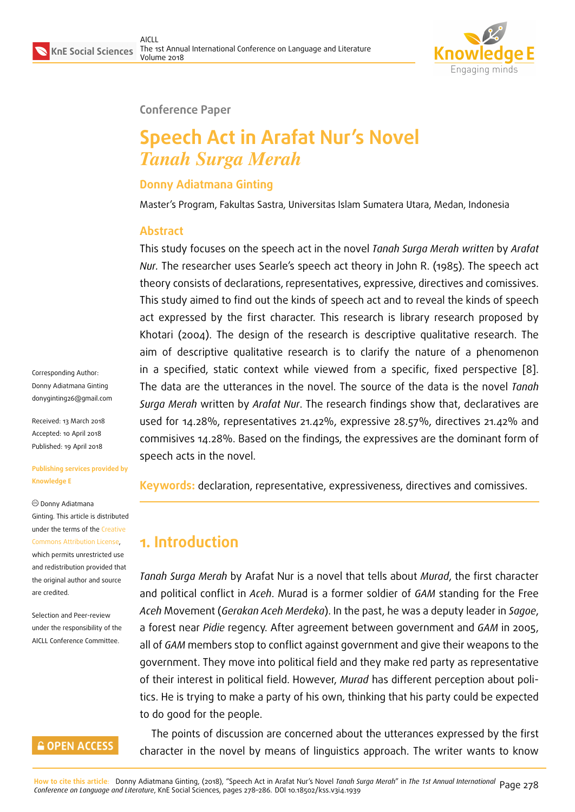

#### **Conference Paper**

# **Speech Act in Arafat Nur's Novel** *Tanah Surga Merah*

# **Donny Adiatmana Ginting**

Master's Program, Fakultas Sastra, Universitas Islam Sumatera Utara, Medan, Indonesia

## **Abstract**

This study focuses on the speech act in the novel *Tanah Surga Merah written* by *Arafat Nur.* The researcher uses Searle's speech act theory in John R. (1985). The speech act theory consists of declarations, representatives, expressive, directives and comissives. This study aimed to find out the kinds of speech act and to reveal the kinds of speech act expressed by the first character. This research is library research proposed by Khotari (2004). The design of the research is descriptive qualitative research. The aim of descriptive qualitative research is to clarify the nature of a phenomenon in a specified, static context while viewed from a specific, fixed perspective [8]. The data are the utterances in the novel. The source of the data is the novel *Tanah Surga Merah* written by *Arafat Nur*. The research findings show that, declaratives are used for 14.28%, representatives 21.42%, expressive 28.57%, directives 21.42% [an](#page-8-0)d commisives 14.28%. Based on the findings, the expressives are the dominant form of speech acts in the novel.

**Keywords:** declaration, representative, expressiveness, directives and comissives.

# **1. Introduction**

*Tanah Surga Merah* by Arafat Nur is a novel that tells about *Murad*, the first character and political conflict in *Aceh*. Murad is a former soldier of *GAM* standing for the Free *Aceh* Movement (*Gerakan Aceh Merdeka*). In the past, he was a deputy leader in *Sagoe*, a forest near *Pidie* regency. After agreement between government and *GAM* in 2005, all of *GAM* members stop to conflict against government and give their weapons to the government. They move into political field and they make red party as representative of their interest in political field. However, *Murad* has different perception about politics. He is trying to make a party of his own, thinking that his party could be expected to do good for the people.

The points of discussion are concerned about the utterances expressed by the first character in the novel by means of linguistics approach. The writer wants to know

Corresponding Author: Donny Adiatmana Ginting donyginting26@gmail.com Received: 13 March 2018

Accepted: 10 April 2018 [Published: 19 April 2018](mailto:donyginting26@gmail.com)

**Publishing services provided by Knowledge E**

Donny Adiatmana Ginting. This article is distributed under the terms of the Creative Commons Attribution License,

which permits unrestricted use and redistribution provided that the original author and [source](https://creativecommons.org/licenses/by/4.0/) [are credited.](https://creativecommons.org/licenses/by/4.0/)

Selection and Peer-review under the responsibility of the AICLL Conference Committee.

# **GOPEN ACCESS**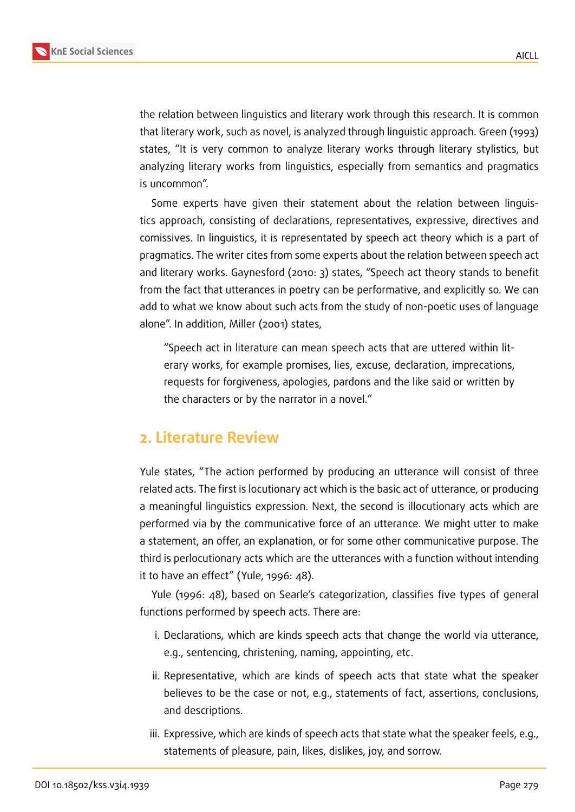

the relation between linguistics and literary work through this research. It is common that literary work, such as novel, is analyzed through linguistic approach. Green (1993) states, "It is very common to analyze literary works through literary stylistics, but analyzing literary works from linguistics, especially from semantics and pragmatics is uncommon".

Some experts have given their statement about the relation between linguistics approach, consisting of declarations, representatives, expressive, directives and comissives. In linguistics, it is representated by speech act theory which is a part of pragmatics. The writer cites from some experts about the relation between speech act and literary works. Gaynesford (2010: 3) states, "Speech act theory stands to benefit from the fact that utterances in poetry can be performative, and explicitly so. We can add to what we know about such acts from the study of non-poetic uses of language alone". In addition, Miller (2001) states,

"Speech act in literature can mean speech acts that are uttered within literary works, for example promises, lies, excuse, declaration, imprecations, requests for forgiveness, apologies, pardons and the like said or written by the characters or by the narrator in a novel."

# **2. Literature Review**

Yule states, "The action performed by producing an utterance will consist of three related acts. The first is locutionary act which is the basic act of utterance, or producing a meaningful linguistics expression. Next, the second is illocutionary acts which are performed via by the communicative force of an utterance. We might utter to make a statement, an offer, an explanation, or for some other communicative purpose. The third is perlocutionary acts which are the utterances with a function without intending it to have an effect" (Yule, 1996: 48).

Yule (1996: 48), based on Searle's categorization, classifies five types of general functions performed by speech acts. There are:

- i. Declarations, which are kinds speech acts that change the world via utterance, e.g., sentencing, christening, naming, appointing, etc.
- ii. Representative, which are kinds of speech acts that state what the speaker believes to be the case or not, e.g., statements of fact, assertions, conclusions, and descriptions.
- iii. Expressive, which are kinds of speech acts that state what the speaker feels, e.g., statements of pleasure, pain, likes, dislikes, joy, and sorrow.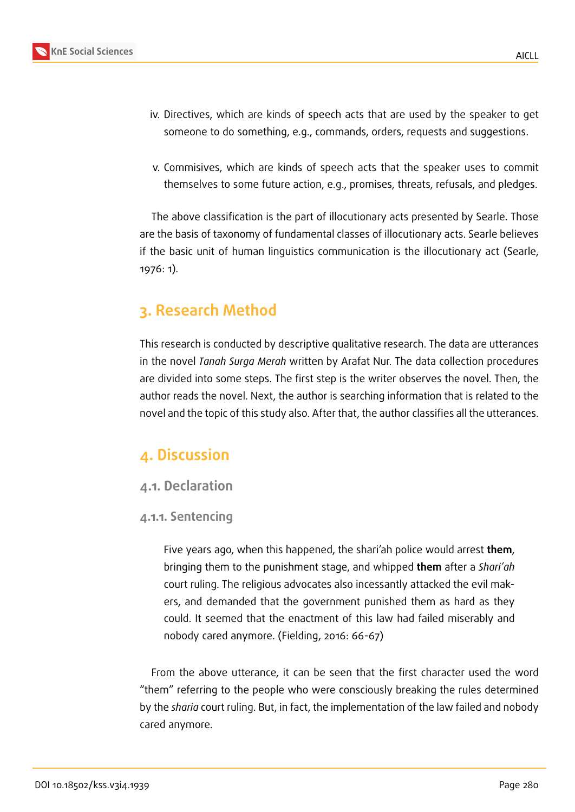

v. Commisives, which are kinds of speech acts that the speaker uses to commit themselves to some future action, e.g., promises, threats, refusals, and pledges.

The above classification is the part of illocutionary acts presented by Searle. Those are the basis of taxonomy of fundamental classes of illocutionary acts. Searle believes if the basic unit of human linguistics communication is the illocutionary act (Searle, 1976: 1).

# **3. Research Method**

This research is conducted by descriptive qualitative research. The data are utterances in the novel *Tanah Surga Merah* written by Arafat Nur. The data collection procedures are divided into some steps. The first step is the writer observes the novel. Then, the author reads the novel. Next, the author is searching information that is related to the novel and the topic of this study also. After that, the author classifies all the utterances.

# **4. Discussion**

#### **4.1. Declaration**

#### **4.1.1. Sentencing**

Five years ago, when this happened, the shari'ah police would arrest **them**, bringing them to the punishment stage, and whipped **them** after a *Shari'ah* court ruling. The religious advocates also incessantly attacked the evil makers, and demanded that the government punished them as hard as they could. It seemed that the enactment of this law had failed miserably and nobody cared anymore. (Fielding, 2016: 66-67)

From the above utterance, it can be seen that the first character used the word "them" referring to the people who were consciously breaking the rules determined by the *sharia* court ruling. But, in fact, the implementation of the law failed and nobody cared anymore.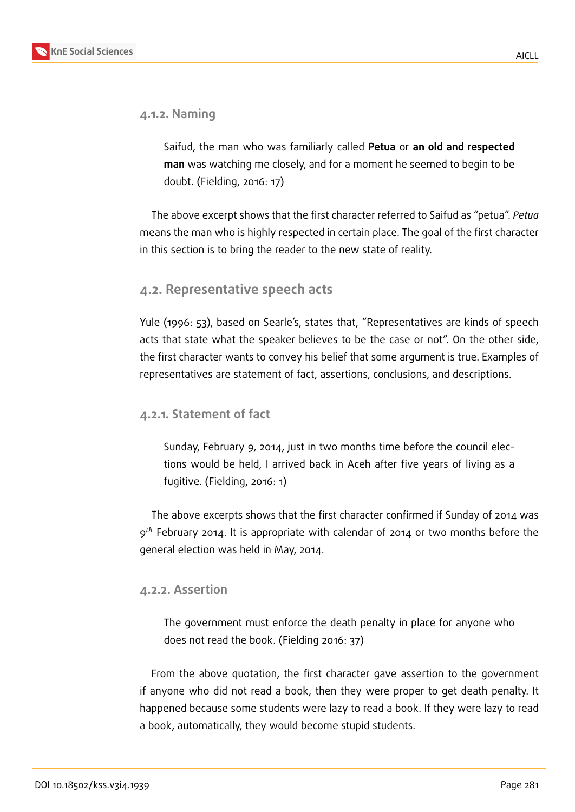#### **4.1.2. Naming**

Saifud, the man who was familiarly called **Petua** or **an old and respected man** was watching me closely, and for a moment he seemed to begin to be doubt. (Fielding, 2016: 17)

The above excerpt shows that the first character referred to Saifud as "petua". *Petua* means the man who is highly respected in certain place. The goal of the first character in this section is to bring the reader to the new state of reality.

## **4.2. Representative speech acts**

Yule (1996: 53), based on Searle's, states that, "Representatives are kinds of speech acts that state what the speaker believes to be the case or not". On the other side, the first character wants to convey his belief that some argument is true. Examples of representatives are statement of fact, assertions, conclusions, and descriptions.

### **4.2.1. Statement of fact**

Sunday, February 9, 2014, just in two months time before the council elections would be held, I arrived back in Aceh after five years of living as a fugitive. (Fielding, 2016: 1)

The above excerpts shows that the first character confirmed if Sunday of 2014 was  $9<sup>th</sup>$  February 2014. It is appropriate with calendar of 2014 or two months before the general election was held in May, 2014.

#### **4.2.2. Assertion**

The government must enforce the death penalty in place for anyone who does not read the book. (Fielding 2016: 37)

From the above quotation, the first character gave assertion to the government if anyone who did not read a book, then they were proper to get death penalty. It happened because some students were lazy to read a book. If they were lazy to read a book, automatically, they would become stupid students.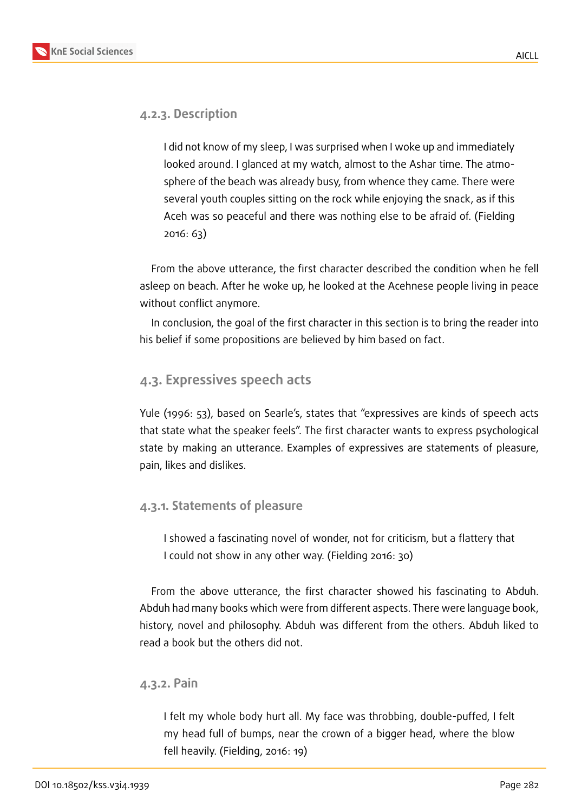

#### **4.2.3. Description**

I did not know of my sleep, I was surprised when I woke up and immediately looked around. I glanced at my watch, almost to the Ashar time. The atmosphere of the beach was already busy, from whence they came. There were several youth couples sitting on the rock while enjoying the snack, as if this Aceh was so peaceful and there was nothing else to be afraid of. (Fielding 2016: 63)

From the above utterance, the first character described the condition when he fell asleep on beach. After he woke up, he looked at the Acehnese people living in peace without conflict anymore.

In conclusion, the goal of the first character in this section is to bring the reader into his belief if some propositions are believed by him based on fact.

#### **4.3. Expressives speech acts**

Yule (1996: 53), based on Searle's, states that "expressives are kinds of speech acts that state what the speaker feels". The first character wants to express psychological state by making an utterance. Examples of expressives are statements of pleasure, pain, likes and dislikes.

#### **4.3.1. Statements of pleasure**

I showed a fascinating novel of wonder, not for criticism, but a flattery that I could not show in any other way. (Fielding 2016: 30)

From the above utterance, the first character showed his fascinating to Abduh. Abduh had many books which were from different aspects. There were language book, history, novel and philosophy. Abduh was different from the others. Abduh liked to read a book but the others did not.

#### **4.3.2. Pain**

I felt my whole body hurt all. My face was throbbing, double-puffed, I felt my head full of bumps, near the crown of a bigger head, where the blow fell heavily. (Fielding, 2016: 19)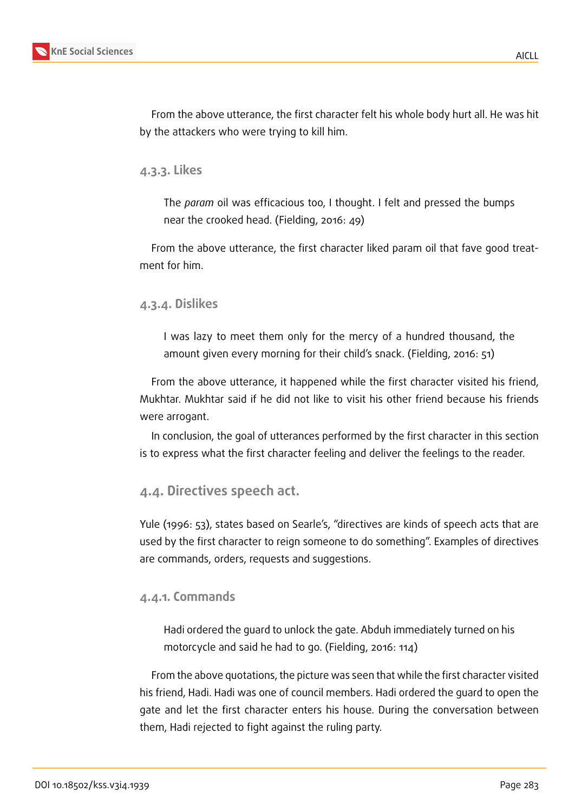

From the above utterance, the first character felt his whole body hurt all. He was hit by the attackers who were trying to kill him.

#### **4.3.3. Likes**

The *param* oil was efficacious too, I thought. I felt and pressed the bumps near the crooked head. (Fielding, 2016: 49)

From the above utterance, the first character liked param oil that fave good treatment for him.

#### **4.3.4. Dislikes**

I was lazy to meet them only for the mercy of a hundred thousand, the amount given every morning for their child's snack. (Fielding, 2016: 51)

From the above utterance, it happened while the first character visited his friend, Mukhtar. Mukhtar said if he did not like to visit his other friend because his friends were arrogant.

In conclusion, the goal of utterances performed by the first character in this section is to express what the first character feeling and deliver the feelings to the reader.

### **4.4. Directives speech act.**

Yule (1996: 53), states based on Searle's, "directives are kinds of speech acts that are used by the first character to reign someone to do something". Examples of directives are commands, orders, requests and suggestions.

#### **4.4.1. Commands**

Hadi ordered the guard to unlock the gate. Abduh immediately turned on his motorcycle and said he had to go. (Fielding, 2016: 114)

From the above quotations, the picture was seen that while the first character visited his friend, Hadi. Hadi was one of council members. Hadi ordered the guard to open the gate and let the first character enters his house. During the conversation between them, Hadi rejected to fight against the ruling party.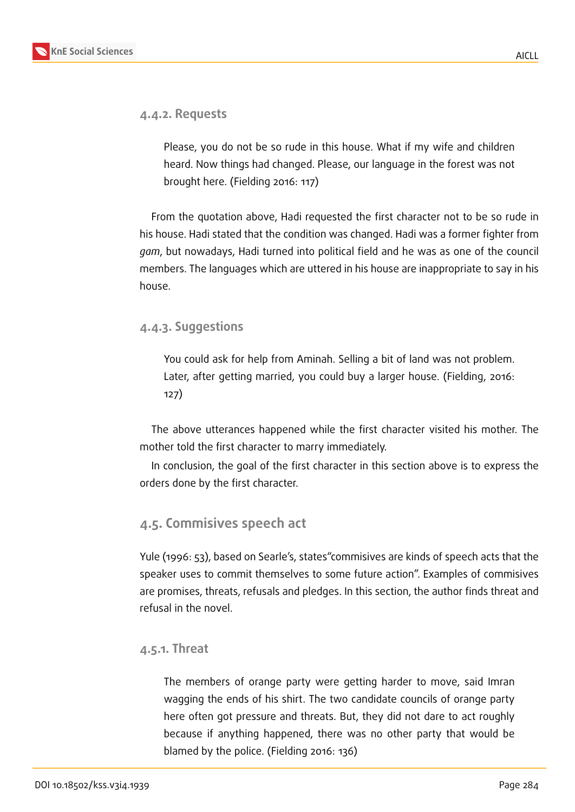

#### **4.4.2. Requests**

Please, you do not be so rude in this house. What if my wife and children heard. Now things had changed. Please, our language in the forest was not brought here. (Fielding 2016: 117)

From the quotation above, Hadi requested the first character not to be so rude in his house. Hadi stated that the condition was changed. Hadi was a former fighter from *gam*, but nowadays, Hadi turned into political field and he was as one of the council members. The languages which are uttered in his house are inappropriate to say in his house.

#### **4.4.3. Suggestions**

You could ask for help from Aminah. Selling a bit of land was not problem. Later, after getting married, you could buy a larger house. (Fielding, 2016: 127)

The above utterances happened while the first character visited his mother. The mother told the first character to marry immediately.

In conclusion, the goal of the first character in this section above is to express the orders done by the first character.

### **4.5. Commisives speech act**

Yule (1996: 53), based on Searle's, states"commisives are kinds of speech acts that the speaker uses to commit themselves to some future action". Examples of commisives are promises, threats, refusals and pledges. In this section, the author finds threat and refusal in the novel.

#### **4.5.1. Threat**

The members of orange party were getting harder to move, said Imran wagging the ends of his shirt. The two candidate councils of orange party here often got pressure and threats. But, they did not dare to act roughly because if anything happened, there was no other party that would be blamed by the police. (Fielding 2016: 136)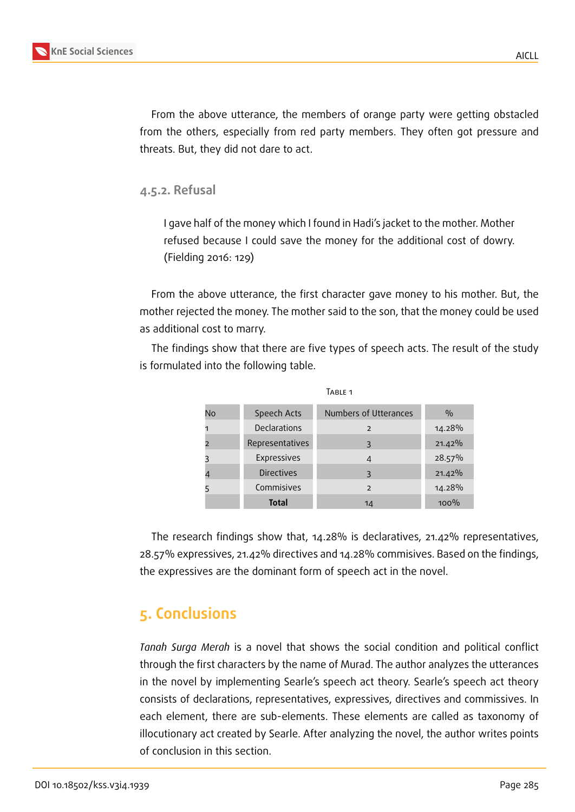

From the above utterance, the members of orange party were getting obstacled from the others, especially from red party members. They often got pressure and threats. But, they did not dare to act.

**4.5.2. Refusal**

I gave half of the money which I found in Hadi's jacket to the mother. Mother refused because I could save the money for the additional cost of dowry. (Fielding 2016: 129)

From the above utterance, the first character gave money to his mother. But, the mother rejected the money. The mother said to the son, that the money could be used as additional cost to marry.

The findings show that there are five types of speech acts. The result of the study is formulated into the following table.

| Table 1 |                    |                          |               |
|---------|--------------------|--------------------------|---------------|
| No      | Speech Acts        | Numbers of Utterances    | $\frac{0}{0}$ |
|         | Declarations       | 2                        | 14.28%        |
|         | Representatives    | 3                        | 21.42%        |
|         | <b>Expressives</b> | $\overline{4}$           | 28.57%        |
|         | <b>Directives</b>  | 3                        | $21.42\%$     |
|         | Commisives         | $\overline{\phantom{0}}$ | 14.28%        |
|         | Total              | 14                       | 100%          |

The research findings show that, 14.28% is declaratives, 21.42% representatives, 28.57% expressives, 21.42% directives and 14.28% commisives. Based on the findings, the expressives are the dominant form of speech act in the novel.

# **5. Conclusions**

*Tanah Surga Merah* is a novel that shows the social condition and political conflict through the first characters by the name of Murad. The author analyzes the utterances in the novel by implementing Searle's speech act theory. Searle's speech act theory consists of declarations, representatives, expressives, directives and commissives. In each element, there are sub-elements. These elements are called as taxonomy of illocutionary act created by Searle. After analyzing the novel, the author writes points of conclusion in this section.